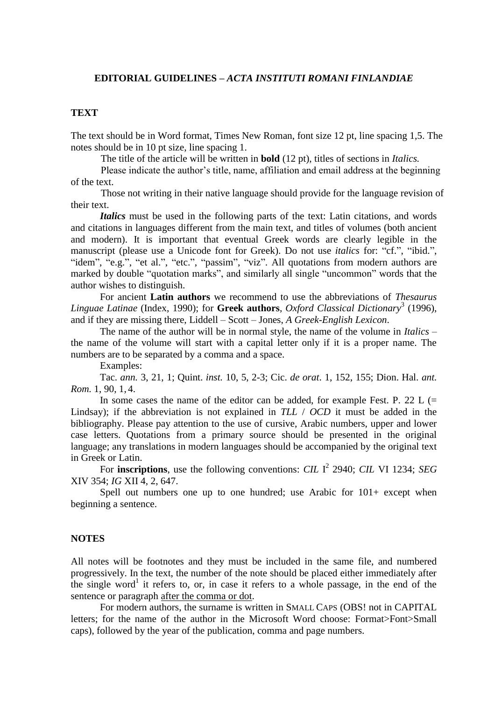### **EDITORIAL GUIDELINES –** *ACTA INSTITUTI ROMANI FINLANDIAE*

### **TEXT**

The text should be in Word format, Times New Roman, font size 12 pt, line spacing 1,5. The notes should be in 10 pt size, line spacing 1.

The title of the article will be written in **bold** (12 pt), titles of sections in *Italics.*

Please indicate the author's title, name, affiliation and email address at the beginning of the text.

Those not writing in their native language should provide for the language revision of their text.

*Italics* must be used in the following parts of the text: Latin citations, and words and citations in languages different from the main text, and titles of volumes (both ancient and modern). It is important that eventual Greek words are clearly legible in the manuscript (please use a Unicode font for Greek). Do not use *italics* for: "cf.", "ibid.", "idem", "e.g.", "et al.", "etc.", "passim", "viz". All quotations from modern authors are marked by double "quotation marks", and similarly all single "uncommon" words that the author wishes to distinguish.

For ancient **Latin authors** we recommend to use the abbreviations of *Thesaurus Linguae Latinae* (Index, 1990); for **Greek authors**, *Oxford Classical Dictionary*<sup>3</sup> (1996), and if they are missing there, Liddell – Scott – Jones, *A Greek-English Lexicon*.

The name of the author will be in normal style, the name of the volume in *Italics* – the name of the volume will start with a capital letter only if it is a proper name. The numbers are to be separated by a comma and a space.

Examples:

Tac. *ann.* 3, 21, 1; Quint. *inst.* 10, 5, 2-3; Cic. *de orat*. 1, 152, 155; Dion. Hal. *ant. Rom.* 1, 90, 1, 4.

In some cases the name of the editor can be added, for example Fest. P. 22 L  $(=$ Lindsay); if the abbreviation is not explained in *TLL* / *OCD* it must be added in the bibliography. Please pay attention to the use of cursive, Arabic numbers, upper and lower case letters. Quotations from a primary source should be presented in the original language; any translations in modern languages should be accompanied by the original text in Greek or Latin.

For **inscriptions**, use the following conventions: *CIL* I<sup>2</sup> 2940; *CIL* VI 1234; *SEG* XIV 354; *IG* XII 4, 2, 647.

Spell out numbers one up to one hundred; use Arabic for  $101+$  except when beginning a sentence.

### **NOTES**

All notes will be footnotes and they must be included in the same file, and numbered progressively. In the text, the number of the note should be placed either immediately after the single word<sup>1</sup> it refers to, or, in case it refers to a whole passage, in the end of the sentence or paragraph after the comma or dot.

For modern authors, the surname is written in SMALL CAPS (OBS! not in CAPITAL letters; for the name of the author in the Microsoft Word choose: Format>Font>Small caps), followed by the year of the publication, comma and page numbers.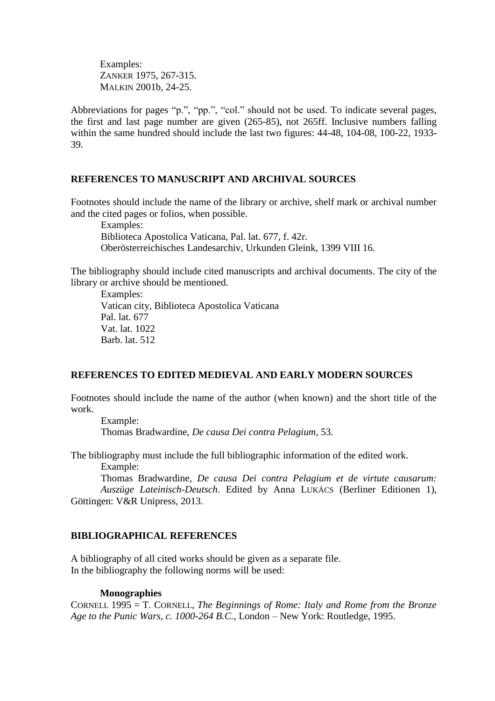Examples: ZANKER 1975, 267-315. MALKIN 2001b, 24-25.

Abbreviations for pages "p.", "pp.", "col." should not be used. To indicate several pages, the first and last page number are given (265-85), not 265ff. Inclusive numbers falling within the same hundred should include the last two figures: 44-48, 104-08, 100-22, 1933- 39.

## **REFERENCES TO MANUSCRIPT AND ARCHIVAL SOURCES**

Footnotes should include the name of the library or archive, shelf mark or archival number and the cited pages or folios, when possible.

Examples: Biblioteca Apostolica Vaticana, Pal. lat. 677, f. 42r. Oberösterreichisches Landesarchiv, Urkunden Gleink, 1399 VIII 16.

The bibliography should include cited manuscripts and archival documents. The city of the library or archive should be mentioned.

Examples: Vatican city, Biblioteca Apostolica Vaticana Pal. lat. 677 Vat. lat. 1022 Barb. lat. 512

# **REFERENCES TO EDITED MEDIEVAL AND EARLY MODERN SOURCES**

Footnotes should include the name of the author (when known) and the short title of the work.

Example: Thomas Bradwardine, *De causa Dei contra Pelagium,* 53.

The bibliography must include the full bibliographic information of the edited work. Example:

Thomas Bradwardine, *De causa Dei contra Pelagium et de virtute causarum: Auszüge Lateinisch-Deutsch*. Edited by Anna LUKÁCS (Berliner Editionen 1), Göttingen: V&R Unipress, 2013.

# **BIBLIOGRAPHICAL REFERENCES**

A bibliography of all cited works should be given as a separate file. In the bibliography the following norms will be used:

### **Monographies**

CORNELL 1995 = T. CORNELL, *The Beginnings of Rome: Italy and Rome from the Bronze Age to the Punic Wars, c. 1000-264 B.C.*, London – New York: Routledge, 1995.